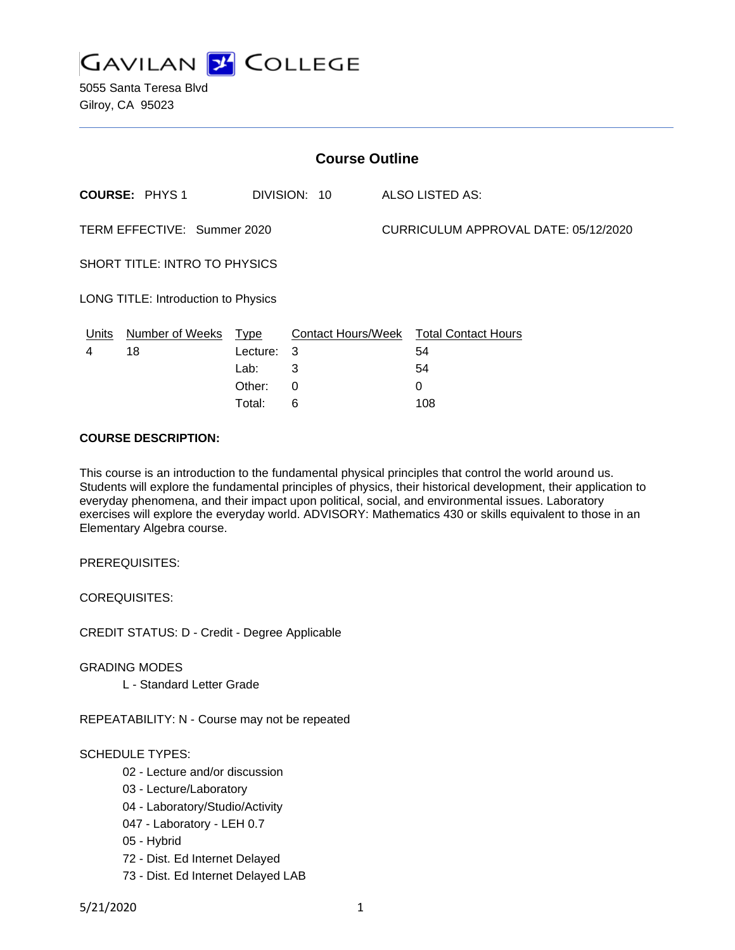

| <b>Course Outline</b>                |                      |          |              |  |                                        |  |
|--------------------------------------|----------------------|----------|--------------|--|----------------------------------------|--|
|                                      | <b>COURSE: PHYS1</b> |          | DIVISION: 10 |  | ALSO LISTED AS:                        |  |
| TERM EFFECTIVE: Summer 2020          |                      |          |              |  | CURRICULUM APPROVAL DATE: 05/12/2020   |  |
| <b>SHORT TITLE: INTRO TO PHYSICS</b> |                      |          |              |  |                                        |  |
| LONG TITLE: Introduction to Physics  |                      |          |              |  |                                        |  |
| Units                                | Number of Weeks Type |          |              |  | Contact Hours/Week Total Contact Hours |  |
| 4                                    | 18                   | Lecture: | 3            |  | 54                                     |  |
|                                      |                      | Lab:     | 3            |  | 54                                     |  |
|                                      |                      | Other:   | 0            |  | 0                                      |  |
|                                      |                      | Total:   | 6            |  | 108                                    |  |

#### **COURSE DESCRIPTION:**

This course is an introduction to the fundamental physical principles that control the world around us. Students will explore the fundamental principles of physics, their historical development, their application to everyday phenomena, and their impact upon political, social, and environmental issues. Laboratory exercises will explore the everyday world. ADVISORY: Mathematics 430 or skills equivalent to those in an Elementary Algebra course.

PREREQUISITES:

COREQUISITES:

CREDIT STATUS: D - Credit - Degree Applicable

GRADING MODES

L - Standard Letter Grade

REPEATABILITY: N - Course may not be repeated

## SCHEDULE TYPES:

- 02 Lecture and/or discussion
- 03 Lecture/Laboratory
- 04 Laboratory/Studio/Activity
- 047 Laboratory LEH 0.7
- 05 Hybrid
- 72 Dist. Ed Internet Delayed
- 73 Dist. Ed Internet Delayed LAB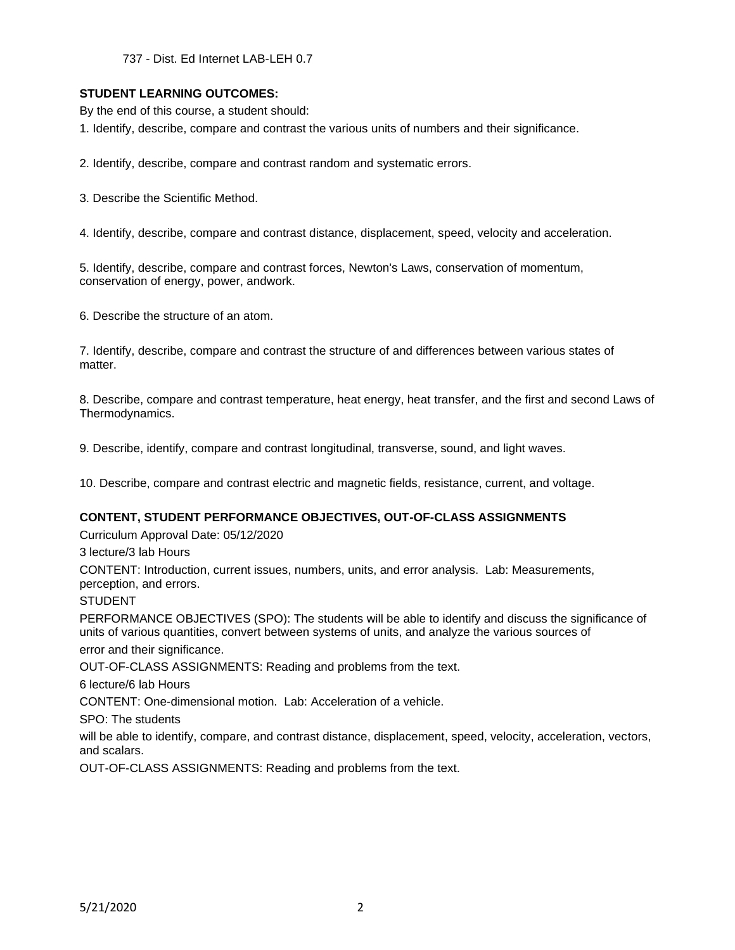737 - Dist. Ed Internet LAB-LEH 0.7

### **STUDENT LEARNING OUTCOMES:**

By the end of this course, a student should:

1. Identify, describe, compare and contrast the various units of numbers and their significance.

2. Identify, describe, compare and contrast random and systematic errors.

3. Describe the Scientific Method.

4. Identify, describe, compare and contrast distance, displacement, speed, velocity and acceleration.

5. Identify, describe, compare and contrast forces, Newton's Laws, conservation of momentum, conservation of energy, power, andwork.

6. Describe the structure of an atom.

7. Identify, describe, compare and contrast the structure of and differences between various states of matter.

8. Describe, compare and contrast temperature, heat energy, heat transfer, and the first and second Laws of Thermodynamics.

9. Describe, identify, compare and contrast longitudinal, transverse, sound, and light waves.

10. Describe, compare and contrast electric and magnetic fields, resistance, current, and voltage.

## **CONTENT, STUDENT PERFORMANCE OBJECTIVES, OUT-OF-CLASS ASSIGNMENTS**

Curriculum Approval Date: 05/12/2020

3 lecture/3 lab Hours

CONTENT: Introduction, current issues, numbers, units, and error analysis. Lab: Measurements, perception, and errors.

STUDENT

PERFORMANCE OBJECTIVES (SPO): The students will be able to identify and discuss the significance of units of various quantities, convert between systems of units, and analyze the various sources of

error and their significance.

OUT-OF-CLASS ASSIGNMENTS: Reading and problems from the text.

6 lecture/6 lab Hours

CONTENT: One-dimensional motion. Lab: Acceleration of a vehicle.

SPO: The students

will be able to identify, compare, and contrast distance, displacement, speed, velocity, acceleration, vectors, and scalars.

OUT-OF-CLASS ASSIGNMENTS: Reading and problems from the text.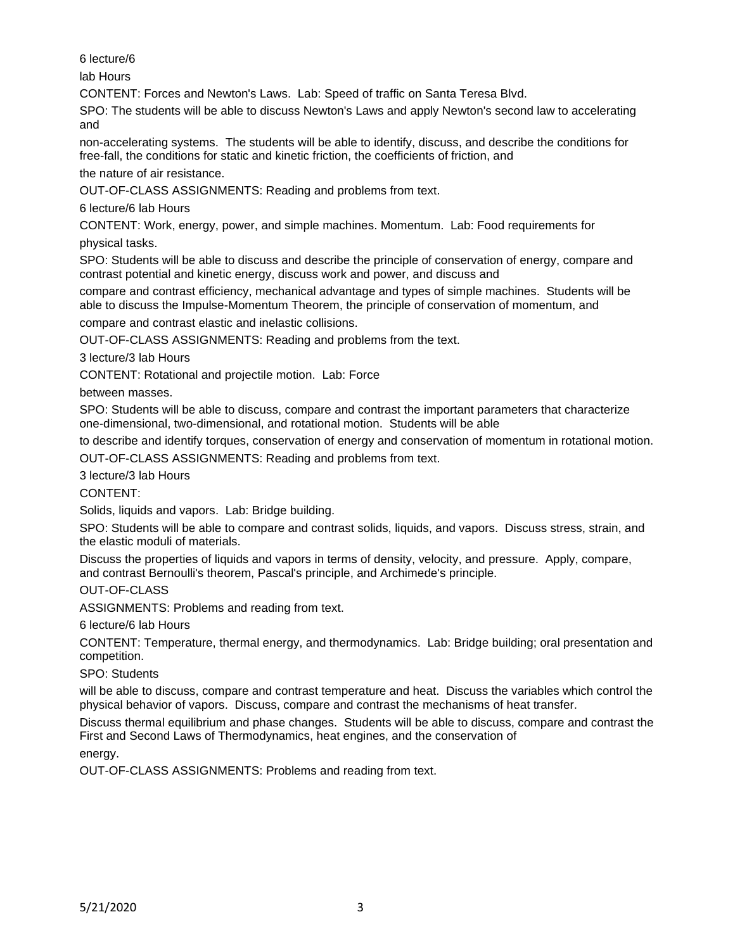6 lecture/6

lab Hours

CONTENT: Forces and Newton's Laws. Lab: Speed of traffic on Santa Teresa Blvd.

SPO: The students will be able to discuss Newton's Laws and apply Newton's second law to accelerating and

non-accelerating systems. The students will be able to identify, discuss, and describe the conditions for free-fall, the conditions for static and kinetic friction, the coefficients of friction, and

the nature of air resistance.

OUT-OF-CLASS ASSIGNMENTS: Reading and problems from text.

6 lecture/6 lab Hours

CONTENT: Work, energy, power, and simple machines. Momentum. Lab: Food requirements for

physical tasks.

SPO: Students will be able to discuss and describe the principle of conservation of energy, compare and contrast potential and kinetic energy, discuss work and power, and discuss and

compare and contrast efficiency, mechanical advantage and types of simple machines. Students will be able to discuss the Impulse-Momentum Theorem, the principle of conservation of momentum, and

compare and contrast elastic and inelastic collisions.

OUT-OF-CLASS ASSIGNMENTS: Reading and problems from the text.

3 lecture/3 lab Hours

CONTENT: Rotational and projectile motion. Lab: Force

between masses.

SPO: Students will be able to discuss, compare and contrast the important parameters that characterize one-dimensional, two-dimensional, and rotational motion. Students will be able

to describe and identify torques, conservation of energy and conservation of momentum in rotational motion.

OUT-OF-CLASS ASSIGNMENTS: Reading and problems from text.

3 lecture/3 lab Hours

CONTENT:

Solids, liquids and vapors. Lab: Bridge building.

SPO: Students will be able to compare and contrast solids, liquids, and vapors. Discuss stress, strain, and the elastic moduli of materials.

Discuss the properties of liquids and vapors in terms of density, velocity, and pressure. Apply, compare, and contrast Bernoulli's theorem, Pascal's principle, and Archimede's principle.

OUT-OF-CLASS

ASSIGNMENTS: Problems and reading from text.

6 lecture/6 lab Hours

CONTENT: Temperature, thermal energy, and thermodynamics. Lab: Bridge building; oral presentation and competition.

SPO: Students

will be able to discuss, compare and contrast temperature and heat. Discuss the variables which control the physical behavior of vapors. Discuss, compare and contrast the mechanisms of heat transfer.

Discuss thermal equilibrium and phase changes. Students will be able to discuss, compare and contrast the First and Second Laws of Thermodynamics, heat engines, and the conservation of

energy.

OUT-OF-CLASS ASSIGNMENTS: Problems and reading from text.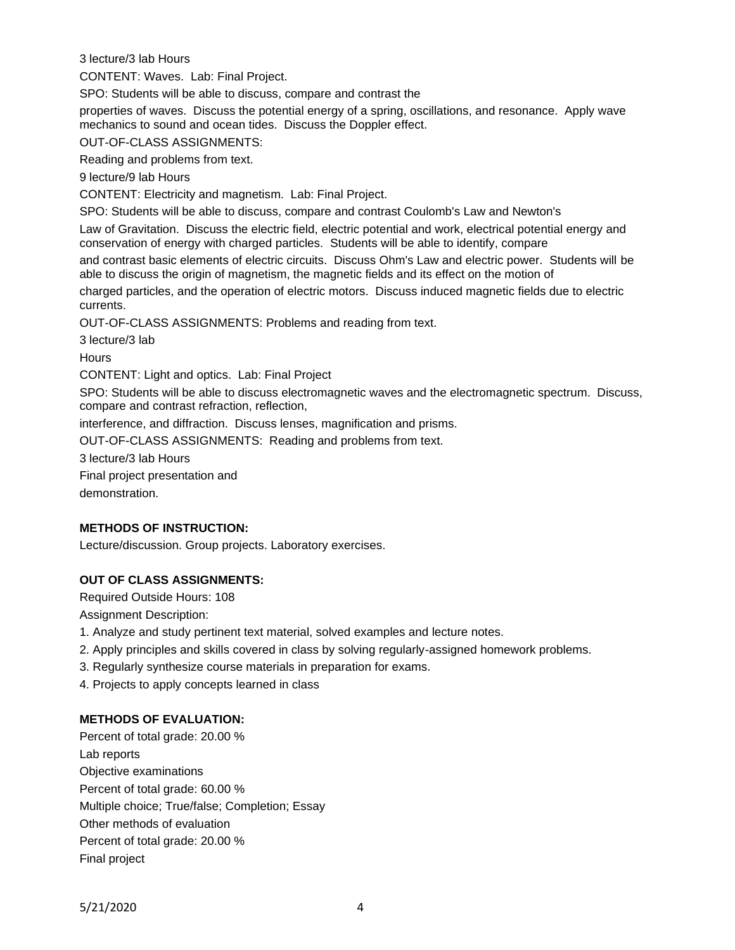3 lecture/3 lab Hours

CONTENT: Waves. Lab: Final Project.

SPO: Students will be able to discuss, compare and contrast the

properties of waves. Discuss the potential energy of a spring, oscillations, and resonance. Apply wave mechanics to sound and ocean tides. Discuss the Doppler effect.

OUT-OF-CLASS ASSIGNMENTS:

Reading and problems from text.

9 lecture/9 lab Hours

CONTENT: Electricity and magnetism. Lab: Final Project.

SPO: Students will be able to discuss, compare and contrast Coulomb's Law and Newton's

Law of Gravitation. Discuss the electric field, electric potential and work, electrical potential energy and conservation of energy with charged particles. Students will be able to identify, compare

and contrast basic elements of electric circuits. Discuss Ohm's Law and electric power. Students will be able to discuss the origin of magnetism, the magnetic fields and its effect on the motion of

charged particles, and the operation of electric motors. Discuss induced magnetic fields due to electric currents.

OUT-OF-CLASS ASSIGNMENTS: Problems and reading from text.

3 lecture/3 lab

**Hours** 

CONTENT: Light and optics. Lab: Final Project

SPO: Students will be able to discuss electromagnetic waves and the electromagnetic spectrum. Discuss, compare and contrast refraction, reflection,

interference, and diffraction. Discuss lenses, magnification and prisms.

OUT-OF-CLASS ASSIGNMENTS: Reading and problems from text.

3 lecture/3 lab Hours

Final project presentation and

demonstration.

# **METHODS OF INSTRUCTION:**

Lecture/discussion. Group projects. Laboratory exercises.

## **OUT OF CLASS ASSIGNMENTS:**

Required Outside Hours: 108

Assignment Description:

- 1. Analyze and study pertinent text material, solved examples and lecture notes.
- 2. Apply principles and skills covered in class by solving regularly-assigned homework problems.
- 3. Regularly synthesize course materials in preparation for exams.
- 4. Projects to apply concepts learned in class

## **METHODS OF EVALUATION:**

Percent of total grade: 20.00 % Lab reports Objective examinations Percent of total grade: 60.00 % Multiple choice; True/false; Completion; Essay Other methods of evaluation Percent of total grade: 20.00 % Final project